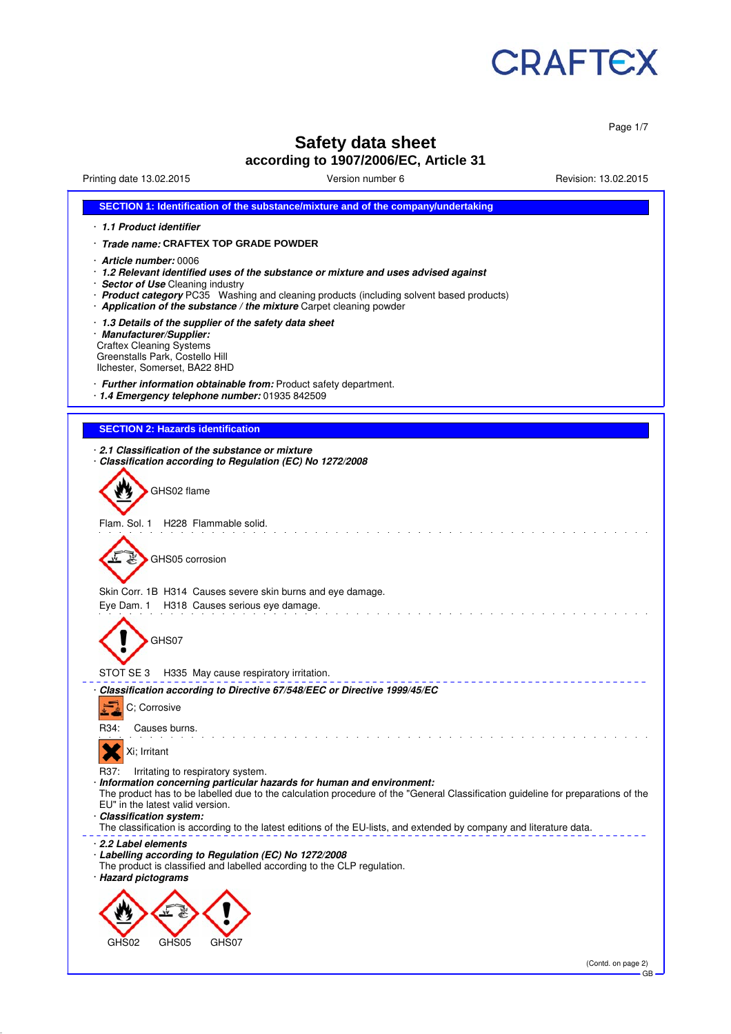

Page 1/7

# **Safety data sheet**

### **according to 1907/2006/EC, Article 31**

Printing date 13.02.2015 Version number 6 Revision: 13.02.2015

| SECTION 1: Identification of the substance/mixture and of the company/undertaking                                                                                                                                                                                                                                                                                                                                                               |
|-------------------------------------------------------------------------------------------------------------------------------------------------------------------------------------------------------------------------------------------------------------------------------------------------------------------------------------------------------------------------------------------------------------------------------------------------|
| 1.1 Product identifier                                                                                                                                                                                                                                                                                                                                                                                                                          |
| · <i>Trade name:</i> CRAFTEX TOP GRADE POWDER                                                                                                                                                                                                                                                                                                                                                                                                   |
| Article number: 0006<br>· 1.2 Relevant identified uses of the substance or mixture and uses advised against<br>· Sector of Use Cleaning industry<br>· Product category PC35 Washing and cleaning products (including solvent based products)                                                                                                                                                                                                    |
| Application of the substance / the mixture Carpet cleaning powder<br>1.3 Details of the supplier of the safety data sheet                                                                                                                                                                                                                                                                                                                       |
| · Manufacturer/Supplier:<br><b>Craftex Cleaning Systems</b><br>Greenstalls Park, Costello Hill<br>Ilchester, Somerset, BA22 8HD                                                                                                                                                                                                                                                                                                                 |
| · Further information obtainable from: Product safety department.<br>· 1.4 Emergency telephone number: 01935 842509                                                                                                                                                                                                                                                                                                                             |
| <b>SECTION 2: Hazards identification</b>                                                                                                                                                                                                                                                                                                                                                                                                        |
| 2.1 Classification of the substance or mixture                                                                                                                                                                                                                                                                                                                                                                                                  |
| Classification according to Regulation (EC) No 1272/2008                                                                                                                                                                                                                                                                                                                                                                                        |
| GHS02 flame                                                                                                                                                                                                                                                                                                                                                                                                                                     |
| Flam. Sol. 1 H228 Flammable solid.                                                                                                                                                                                                                                                                                                                                                                                                              |
| GHS05 corrosion                                                                                                                                                                                                                                                                                                                                                                                                                                 |
| Skin Corr. 1B H314 Causes severe skin burns and eye damage.<br>Eye Dam. 1 H318 Causes serious eye damage.                                                                                                                                                                                                                                                                                                                                       |
| GHS07                                                                                                                                                                                                                                                                                                                                                                                                                                           |
| STOT SE 3 H335 May cause respiratory irritation.                                                                                                                                                                                                                                                                                                                                                                                                |
| Classification according to Directive 67/548/EEC or Directive 1999/45/EC<br>C; Corrosive                                                                                                                                                                                                                                                                                                                                                        |
| R34:<br>Causes burns.                                                                                                                                                                                                                                                                                                                                                                                                                           |
| Xi; Irritant                                                                                                                                                                                                                                                                                                                                                                                                                                    |
| Irritating to respiratory system.<br>R37:<br>· Information concerning particular hazards for human and environment:<br>The product has to be labelled due to the calculation procedure of the "General Classification guideline for preparations of the<br>EU" in the latest valid version.<br>· Classification system:<br>The classification is according to the latest editions of the EU-lists, and extended by company and literature data. |
| 2.2 Label elements<br>· Labelling according to Regulation (EC) No 1272/2008<br>The product is classified and labelled according to the CLP regulation.<br>· Hazard pictograms                                                                                                                                                                                                                                                                   |
| GHS02<br>GHS05<br>GHS07                                                                                                                                                                                                                                                                                                                                                                                                                         |
| (Contd. on page 2)                                                                                                                                                                                                                                                                                                                                                                                                                              |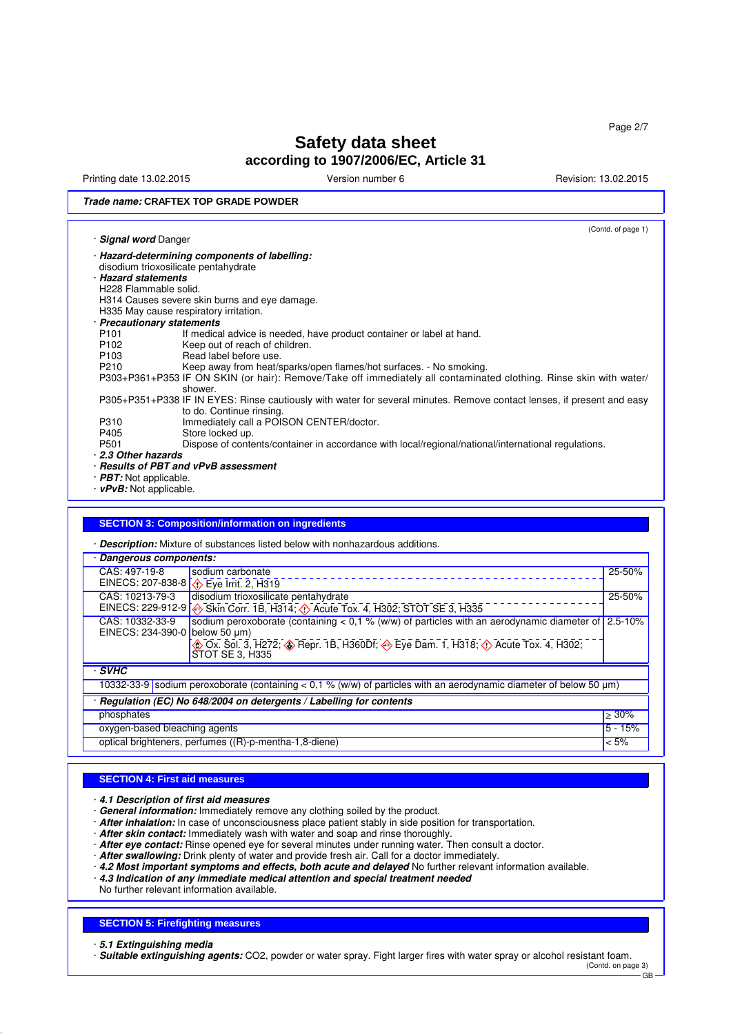Printing date 13.02.2015 **Version number 6** Revision: 13.02.2015 **Revision: 13.02.2015** 

#### **Trade name: CRAFTEX TOP GRADE POWDER**

|                                      |                                                                                                                                                                                          | (Contd. of page 1) |  |  |
|--------------------------------------|------------------------------------------------------------------------------------------------------------------------------------------------------------------------------------------|--------------------|--|--|
| · Signal word Danger                 |                                                                                                                                                                                          |                    |  |  |
|                                      | · Hazard-determining components of labelling:                                                                                                                                            |                    |  |  |
|                                      | disodium trioxosilicate pentahydrate                                                                                                                                                     |                    |  |  |
|                                      | · Hazard statements                                                                                                                                                                      |                    |  |  |
|                                      | H228 Flammable solid.                                                                                                                                                                    |                    |  |  |
|                                      | H314 Causes severe skin burns and eye damage.                                                                                                                                            |                    |  |  |
|                                      | H335 May cause respiratory irritation.                                                                                                                                                   |                    |  |  |
| · Precautionary statements           |                                                                                                                                                                                          |                    |  |  |
| P <sub>101</sub>                     | If medical advice is needed, have product container or label at hand.                                                                                                                    |                    |  |  |
| P <sub>102</sub><br>P <sub>103</sub> | Keep out of reach of children.<br>Read label before use.                                                                                                                                 |                    |  |  |
| P210                                 |                                                                                                                                                                                          |                    |  |  |
|                                      | Keep away from heat/sparks/open flames/hot surfaces. - No smoking.<br>P303+P361+P353 IF ON SKIN (or hair): Remove/Take off immediately all contaminated clothing. Rinse skin with water/ |                    |  |  |
|                                      | shower.                                                                                                                                                                                  |                    |  |  |
|                                      | P305+P351+P338 IF IN EYES: Rinse cautiously with water for several minutes. Remove contact lenses, if present and easy                                                                   |                    |  |  |
|                                      | to do. Continue rinsing.                                                                                                                                                                 |                    |  |  |
| P310                                 | Immediately call a POISON CENTER/doctor.                                                                                                                                                 |                    |  |  |
| P405                                 | Store locked up.                                                                                                                                                                         |                    |  |  |
| P501                                 | Dispose of contents/container in accordance with local/regional/national/international regulations.                                                                                      |                    |  |  |
| 2.3 Other hazards                    |                                                                                                                                                                                          |                    |  |  |
|                                      | · Results of PBT and vPvB assessment                                                                                                                                                     |                    |  |  |
|                                      | $\cdot$ PBT: Not applicable.                                                                                                                                                             |                    |  |  |
| $\cdot$ vPvB: Not applicable.        |                                                                                                                                                                                          |                    |  |  |
|                                      |                                                                                                                                                                                          |                    |  |  |
|                                      |                                                                                                                                                                                          |                    |  |  |
|                                      | <b>SECTION 3: Composition/information on ingredients</b>                                                                                                                                 |                    |  |  |
|                                      |                                                                                                                                                                                          |                    |  |  |
|                                      | · Description: Mixture of substances listed below with nonhazardous additions.                                                                                                           |                    |  |  |
| · Dangerous components:              |                                                                                                                                                                                          |                    |  |  |
| CAS: 497-19-8                        | sodium carbonate                                                                                                                                                                         | 25-50%             |  |  |
|                                      | EINECS: 207-838-8 \ Eye Irrit. 2, H319                                                                                                                                                   |                    |  |  |
| CAS: 10213-79-3                      | disodium trioxosilicate pentahydrate                                                                                                                                                     | 25-50%             |  |  |
|                                      | EINECS: 229-912-9 $\bigotimes$ Skin Corr. 1B, H314; $\bigcirc$ Acute Tox. 4, H302; STOT SE 3, H335                                                                                       |                    |  |  |
| CAS: 10332-33-9                      | sodium peroxoborate (containing $< 0.1$ % (w/w) of particles with an aerodynamic diameter of                                                                                             | $2.5 - 10%$        |  |  |
|                                      | EINECS: 234-390-0 below 50 µm)                                                                                                                                                           |                    |  |  |
|                                      | Ox. Sol. 3, H272; Sepr. 1B, H360Df; Seye Dam. 1, H318; O Acute Tox. 4, H302;                                                                                                             |                    |  |  |
|                                      | STOT SE 3, H335                                                                                                                                                                          |                    |  |  |
| $\cdot$ SVHC                         |                                                                                                                                                                                          |                    |  |  |
|                                      |                                                                                                                                                                                          |                    |  |  |
|                                      | 10332-33-9 sodium peroxoborate (containing < $0,1$ % (w/w) of particles with an aerodynamic diameter of below 50 $\mu$ m)                                                                |                    |  |  |
|                                      | · Regulation (EC) No 648/2004 on detergents / Labelling for contents                                                                                                                     |                    |  |  |

oxygen-based bleaching agents **5 - 15%** optical brighteners, perfumes ((R)-p-mentha-1,8-diene) < 5%

#### **SECTION 4: First aid measures**

· **4.1 Description of first aid measures**

- · **General information:** Immediately remove any clothing soiled by the product.
- · **After inhalation:** In case of unconsciousness place patient stably in side position for transportation.
- · **After skin contact:** Immediately wash with water and soap and rinse thoroughly.
- · **After eye contact:** Rinse opened eye for several minutes under running water. Then consult a doctor.
- · **After swallowing:** Drink plenty of water and provide fresh air. Call for a doctor immediately.
- · **4.2 Most important symptoms and effects, both acute and delayed** No further relevant information available.
- · **4.3 Indication of any immediate medical attention and special treatment needed**

No further relevant information available.

#### **SECTION 5: Firefighting measures**

· **5.1 Extinguishing media**

· **Suitable extinguishing agents:** CO2, powder or water spray. Fight larger fires with water spray or alcohol resistant foam. (Contd. on page 3)

 $\overline{G}R$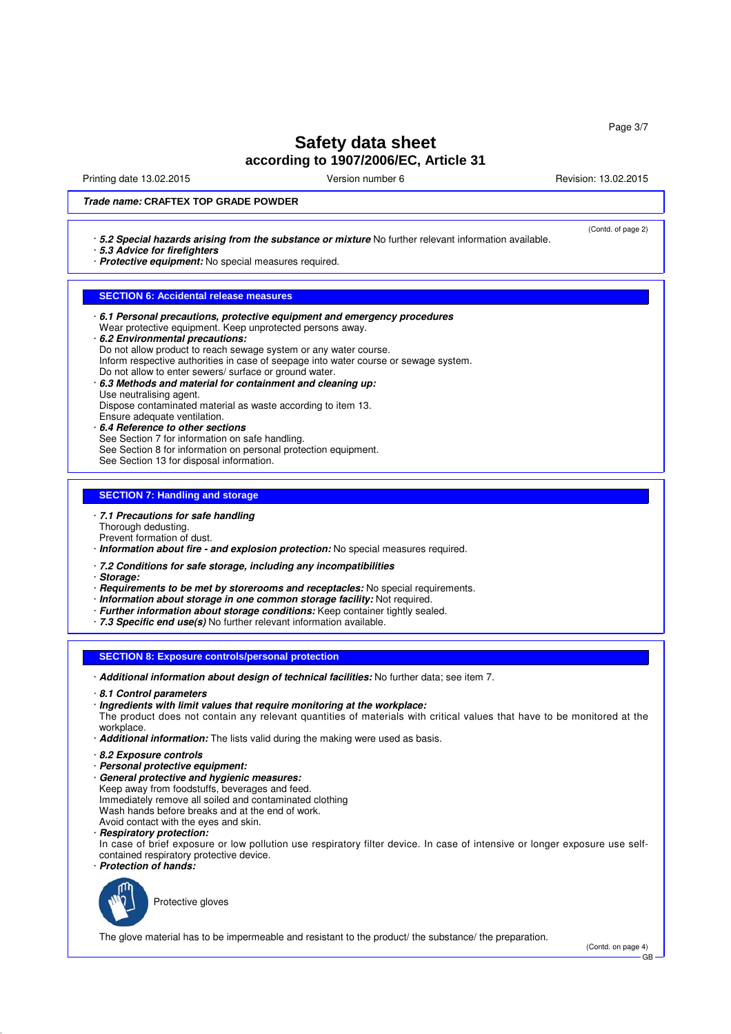Printing date 13.02.2015 Version number 6 Revision: 13.02.2015

(Contd. of page 2)

#### **Trade name: CRAFTEX TOP GRADE POWDER**

- · **5.2 Special hazards arising from the substance or mixture** No further relevant information available.
- · **5.3 Advice for firefighters**
- · **Protective equipment:** No special measures required.

#### **SECTION 6: Accidental release measures**

- · **6.1 Personal precautions, protective equipment and emergency procedures** Wear protective equipment. Keep unprotected persons away. · **6.2 Environmental precautions:**
- Do not allow product to reach sewage system or any water course.
- Inform respective authorities in case of seepage into water course or sewage system.
- Do not allow to enter sewers/ surface or ground water.
- · **6.3 Methods and material for containment and cleaning up:** Use neutralising agent.
- Dispose contaminated material as waste according to item 13.
- Ensure adequate ventilation.
- · **6.4 Reference to other sections**
- See Section 7 for information on safe handling.
- See Section 8 for information on personal protection equipment.
- See Section 13 for disposal information.

#### **SECTION 7: Handling and storage**

- · **7.1 Precautions for safe handling**
- Thorough dedusting.
- Prevent formation of dust.
- · **Information about fire and explosion protection:** No special measures required.
- · **7.2 Conditions for safe storage, including any incompatibilities**
- · **Storage:**
- · **Requirements to be met by storerooms and receptacles:** No special requirements.
- · **Information about storage in one common storage facility:** Not required.
- · **Further information about storage conditions:** Keep container tightly sealed.
- · **7.3 Specific end use(s)** No further relevant information available.

#### **SECTION 8: Exposure controls/personal protection**

- · **Additional information about design of technical facilities:** No further data; see item 7.
- · **8.1 Control parameters**

#### · **Ingredients with limit values that require monitoring at the workplace:**

The product does not contain any relevant quantities of materials with critical values that have to be monitored at the workplace.

· **Additional information:** The lists valid during the making were used as basis.

- · **8.2 Exposure controls**
- · **Personal protective equipment:**
- · **General protective and hygienic measures:** Keep away from foodstuffs, beverages and feed. Immediately remove all soiled and contaminated clothing Wash hands before breaks and at the end of work. Avoid contact with the eyes and skin.
- · **Respiratory protection:**

In case of brief exposure or low pollution use respiratory filter device. In case of intensive or longer exposure use selfcontained respiratory protective device.

· **Protection of hands:**



Protective gloves

The glove material has to be impermeable and resistant to the product/ the substance/ the preparation.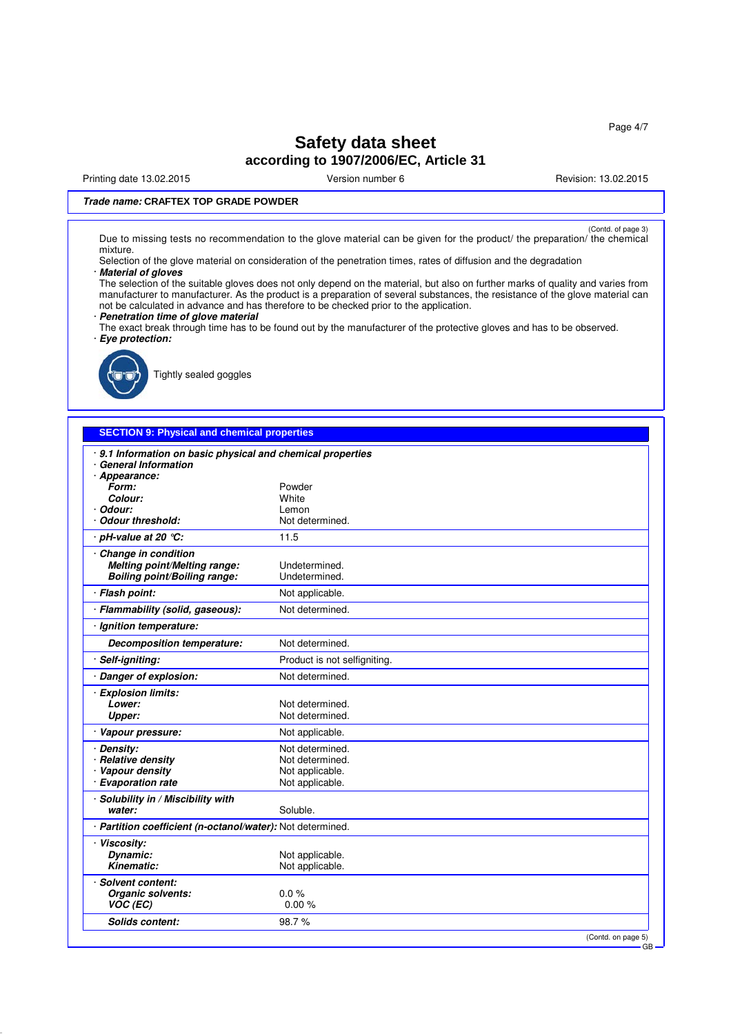Printing date 13.02.2015 **Version number 6** Newsley Revision: 13.02.2015

### **Trade name: CRAFTEX TOP GRADE POWDER**

(Contd. of page 3)<br>Due to missing tests no recommendation to the glove material can be given for the product/ the preparation/ the chemical mixture.

Selection of the glove material on consideration of the penetration times, rates of diffusion and the degradation · **Material of gloves**

The selection of the suitable gloves does not only depend on the material, but also on further marks of quality and varies from manufacturer to manufacturer. As the product is a preparation of several substances, the resistance of the glove material can not be calculated in advance and has therefore to be checked prior to the application.

### · **Penetration time of glove material**

The exact break through time has to be found out by the manufacturer of the protective gloves and has to be observed. · **Eye protection:**



Tightly sealed goggles

#### **SECTION 9: Physical and chemical properties**

| 9.1 Information on basic physical and chemical properties<br>· General Information |                              |
|------------------------------------------------------------------------------------|------------------------------|
| · Appearance:                                                                      |                              |
| Form:                                                                              | Powder                       |
| Colour:                                                                            | White                        |
| · Odour:                                                                           | Lemon                        |
| Odour threshold:                                                                   | Not determined.              |
| · pH-value at 20 ℃:                                                                | 11.5                         |
| Change in condition                                                                |                              |
| Melting point/Melting range:                                                       | Undetermined.                |
| <b>Boiling point/Boiling range:</b>                                                | Undetermined.                |
| · Flash point:                                                                     | Not applicable.              |
| · Flammability (solid, gaseous):                                                   | Not determined.              |
| · Ignition temperature:                                                            |                              |
| <b>Decomposition temperature:</b>                                                  | Not determined.              |
| · Self-igniting:                                                                   | Product is not selfigniting. |
| · Danger of explosion:                                                             | Not determined.              |
| · Explosion limits:                                                                |                              |
| Lower:                                                                             | Not determined.              |
| Upper:                                                                             | Not determined.              |
| · Vapour pressure:                                                                 | Not applicable.              |
| · Density:                                                                         | Not determined.              |
| · Relative density                                                                 | Not determined.              |
| · Vapour density                                                                   | Not applicable.              |
| · Evaporation rate                                                                 | Not applicable.              |
| · Solubility in / Miscibility with                                                 |                              |
| water:                                                                             | Soluble.                     |
| · Partition coefficient (n-octanol/water): Not determined.                         |                              |
| · Viscosity:                                                                       |                              |
| Dynamic:                                                                           | Not applicable.              |
| Kinematic:                                                                         | Not applicable.              |
| · Solvent content:                                                                 |                              |
| Organic solvents:                                                                  | 0.0%                         |
| VOC (EC)                                                                           | 0.00%                        |
| <b>Solids content:</b>                                                             | 98.7%                        |
|                                                                                    | (Contd. on page 5)           |
|                                                                                    | GB                           |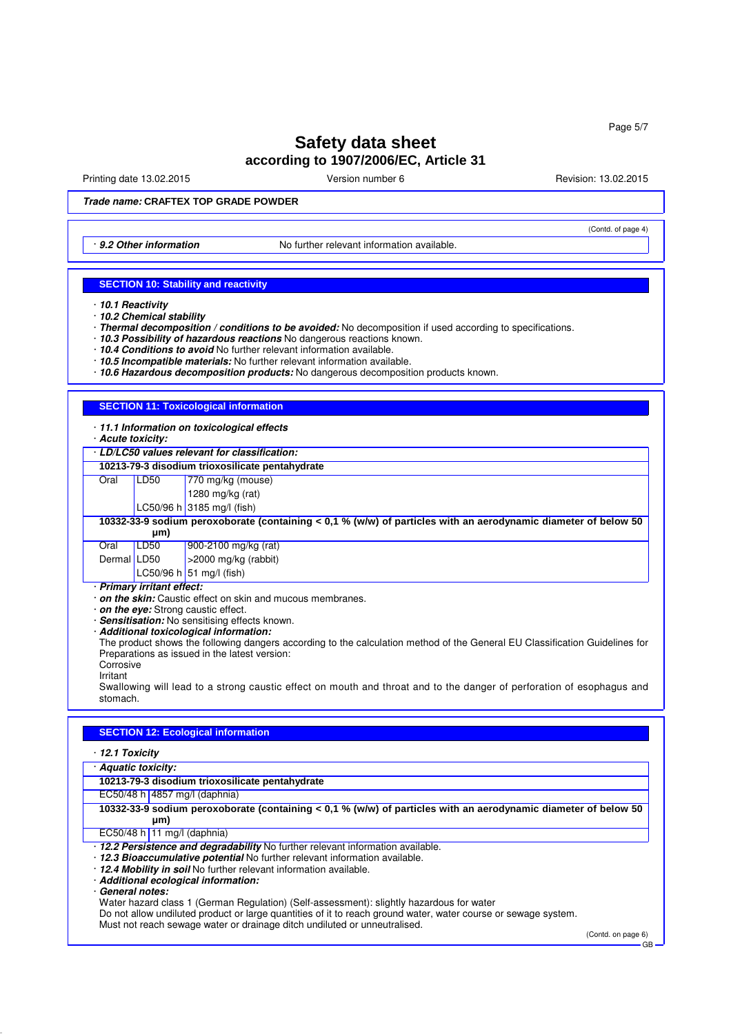Printing date 13.02.2015 Version number 6 Revision: 13.02.2015

(Contd. of page 4)

**Trade name: CRAFTEX TOP GRADE POWDER**

· 9.2 Other information No further relevant information available.

#### **SECTION 10: Stability and reactivity**

- · **10.2 Chemical stability**
- · **Thermal decomposition / conditions to be avoided:** No decomposition if used according to specifications.
- · **10.3 Possibility of hazardous reactions** No dangerous reactions known.
- · **10.4 Conditions to avoid** No further relevant information available.
- · **10.5 Incompatible materials:** No further relevant information available.
- · **10.6 Hazardous decomposition products:** No dangerous decomposition products known.

#### **SECTION 11: Toxicological information**

- · **11.1 Information on toxicological effects**
- · **Acute toxicity:**
- · **LD/LC50 values relevant for classification:**

**10213-79-3 disodium trioxosilicate pentahydrate**

Oral LD50 770 mg/kg (mouse)

- 1280 mg/kg (rat)
- LC50/96 h 3185 mg/l (fish)

#### **10332-33-9 sodium peroxoborate (containing < 0,1 % (w/w) of particles with an aerodynamic diameter of below 50 µm)**

| Oral        | LDS0 | $900-2100$ mg/kg (rat)       |
|-------------|------|------------------------------|
| Dermal LD50 |      | $\vert$ >2000 mg/kg (rabbit) |
|             |      | LC50/96 h 51 mg/l (fish)     |

· **Primary irritant effect:**

- · **on the skin:** Caustic effect on skin and mucous membranes.
- · **on the eye:** Strong caustic effect.
- · **Sensitisation:** No sensitising effects known.
- · **Additional toxicological information:**

The product shows the following dangers according to the calculation method of the General EU Classification Guidelines for Preparations as issued in the latest version: **Corrosive** 

Irritant

Swallowing will lead to a strong caustic effect on mouth and throat and to the danger of perforation of esophagus and stomach.

#### **SECTION 12: Ecological information**

#### · **12.1 Toxicity**

| · Aquatic toxicity:                                                                                                   |  |  |
|-----------------------------------------------------------------------------------------------------------------------|--|--|
| 10213-79-3 disodium trioxosilicate pentahydrate                                                                       |  |  |
| EC50/48 h 4857 mg/l (daphnia)                                                                                         |  |  |
| 10332-33-9 sodium peroxoborate (containing < 0,1 % (w/w) of particles with an aerodynamic diameter of below 50<br>µm) |  |  |
| EC50/48 h   11 mg/l (daphnia)                                                                                         |  |  |
| . 12.2 Persistence and degradability No further relevant information available.                                       |  |  |
| · 12.3 Bioaccumulative potential No further relevant information available.                                           |  |  |
| · 12.4 Mobility in soil No further relevant information available.                                                    |  |  |
| · Additional ecological information:                                                                                  |  |  |
| General notes:                                                                                                        |  |  |
| Water hazard class 1 (German Regulation) (Self-assessment): slightly hazardous for water                              |  |  |
| Do not allow undiluted product or large quantities of it to reach ground water, water course or sewage system.        |  |  |

Must not reach sewage water or drainage ditch undiluted or unneutralised.

(Contd. on page 6) GB

<sup>·</sup> **10.1 Reactivity**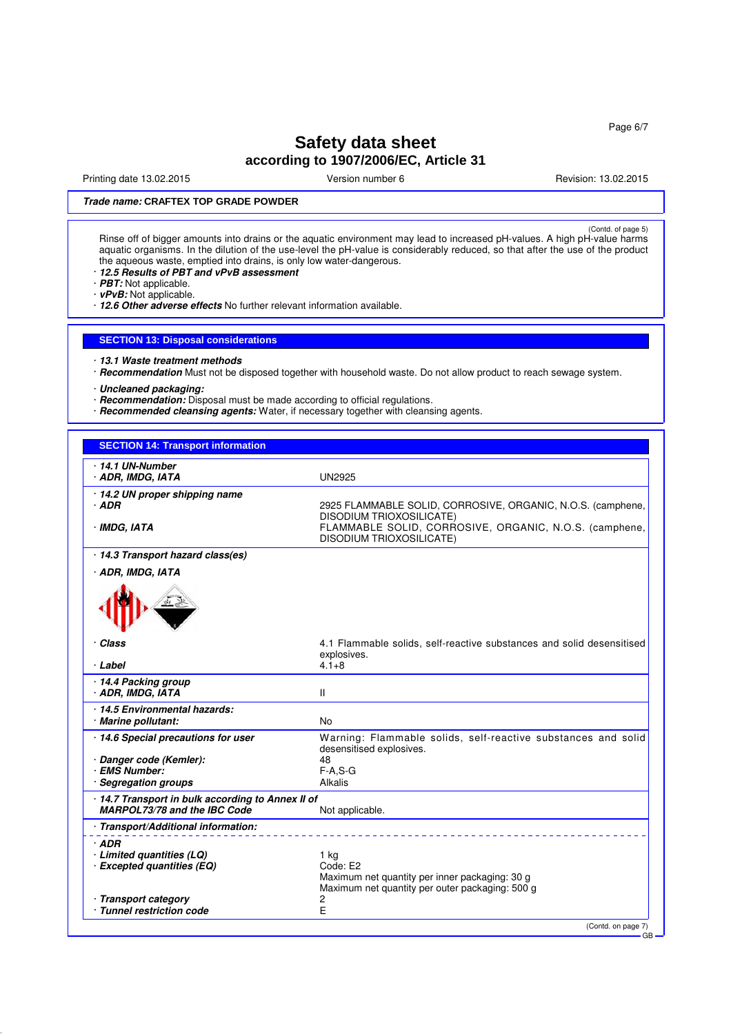Page 6/7

## **Safety data sheet according to 1907/2006/EC, Article 31**

Printing date 13.02.2015 **Version number 6** Newsley Revision: 13.02.2015

### **Trade name: CRAFTEX TOP GRADE POWDER**

(Contd. of page 5)<br>Rinse off of bigger amounts into drains or the aquatic environment may lead to increased pH-values. A high pH-value harms aquatic organisms. In the dilution of the use-level the pH-value is considerably reduced, so that after the use of the product the aqueous waste, emptied into drains, is only low water-dangerous.

- · **12.5 Results of PBT and vPvB assessment**
- · **PBT:** Not applicable. · **vPvB:** Not applicable.

· **12.6 Other adverse effects** No further relevant information available.

#### **SECTION 13: Disposal considerations**

- · **13.1 Waste treatment methods**
- · **Recommendation** Must not be disposed together with household waste. Do not allow product to reach sewage system.
- · **Uncleaned packaging:**
- · **Recommendation:** Disposal must be made according to official regulations.
- · **Recommended cleansing agents:** Water, if necessary together with cleansing agents.

#### **SECTION 14: Transport information**

| ∙ 14.1 UN-Number<br>· ADR, IMDG, IATA                                           | <b>UN2925</b>                                                                                     |
|---------------------------------------------------------------------------------|---------------------------------------------------------------------------------------------------|
| 14.2 UN proper shipping name                                                    |                                                                                                   |
| · ADR                                                                           | 2925 FLAMMABLE SOLID, CORROSIVE, ORGANIC, N.O.S. (camphene,<br><b>DISODIUM TRIOXOSILICATE)</b>    |
| · IMDG, IATA                                                                    | FLAMMABLE SOLID, CORROSIVE, ORGANIC, N.O.S. (camphene,<br><b>DISODIUM TRIOXOSILICATE)</b>         |
| · 14.3 Transport hazard class(es)                                               |                                                                                                   |
| · ADR, IMDG, IATA                                                               |                                                                                                   |
|                                                                                 |                                                                                                   |
| · Class                                                                         | 4.1 Flammable solids, self-reactive substances and solid desensitised<br>explosives.              |
| · Label                                                                         | $4.1 + 8$                                                                                         |
| 14.4 Packing group<br>· ADR, IMDG, IATA                                         | Ш                                                                                                 |
| 14.5 Environmental hazards:<br>· Marine pollutant:                              | No                                                                                                |
| 14.6 Special precautions for user                                               | Warning: Flammable solids, self-reactive substances and solid<br>desensitised explosives.         |
| · Danger code (Kemler):                                                         | 48                                                                                                |
| · EMS Number:<br>· Segregation groups                                           | $F-A, S-G$<br>Alkalis                                                                             |
|                                                                                 |                                                                                                   |
| 14.7 Transport in bulk according to Annex II of<br>MARPOL73/78 and the IBC Code | Not applicable.                                                                                   |
| Transport/Additional information:                                               |                                                                                                   |
| $·$ ADR                                                                         |                                                                                                   |
| · Limited quantities (LQ)                                                       | $1$ kg                                                                                            |
| · Excepted quantities (EQ)                                                      | Code: E2                                                                                          |
|                                                                                 | Maximum net quantity per inner packaging: 30 g<br>Maximum net quantity per outer packaging: 500 g |
| · Transport category                                                            | 2                                                                                                 |
| · Tunnel restriction code                                                       | E                                                                                                 |
|                                                                                 | (Contd. on page 7)<br>GB                                                                          |